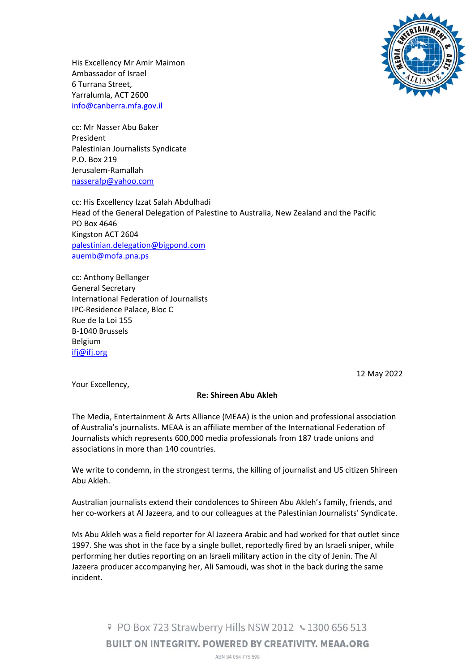

His Excellency Mr Amir Maimon Ambassador of Israel 6 Turrana Street, Yarralumla, ACT 2600 info@canberra.mfa.gov.il

cc: Mr Nasser Abu Baker President Palestinian Journalists Syndicate P.O. Box 219 Jerusalem‐Ramallah nasserafp@yahoo.com

cc: His Excellency Izzat Salah Abdulhadi Head of the General Delegation of Palestine to Australia, New Zealand and the Pacific PO Box 4646 Kingston ACT 2604 palestinian.delegation@bigpond.com auemb@mofa.pna.ps

cc: Anthony Bellanger General Secretary International Federation of Journalists IPC‐Residence Palace, Bloc C Rue de la Loi 155 B‐1040 Brussels Belgium ifj@ifj.org

12 May 2022

Your Excellency,

## **Re: Shireen Abu Akleh**

The Media, Entertainment & Arts Alliance (MEAA) is the union and professional association of Australia's journalists. MEAA is an affiliate member of the International Federation of Journalists which represents 600,000 media professionals from 187 trade unions and associations in more than 140 countries.

We write to condemn, in the strongest terms, the killing of journalist and US citizen Shireen Abu Akleh.

Australian journalists extend their condolences to Shireen Abu Akleh's family, friends, and her co-workers at Al Jazeera, and to our colleagues at the Palestinian Journalists' Syndicate.

Ms Abu Akleh was a field reporter for Al Jazeera Arabic and had worked for that outlet since 1997. She was shot in the face by a single bullet, reportedly fired by an Israeli sniper, while performing her duties reporting on an Israeli military action in the city of Jenin. The Al Jazeera producer accompanying her, Ali Samoudi, was shot in the back during the same incident.

> 9 PO Box 723 Strawberry Hills NSW 2012 ↓ 1300 656 513 **BUILT ON INTEGRITY, POWERED BY CREATIVITY, MEAA.ORG** ABN 84 054 775 598